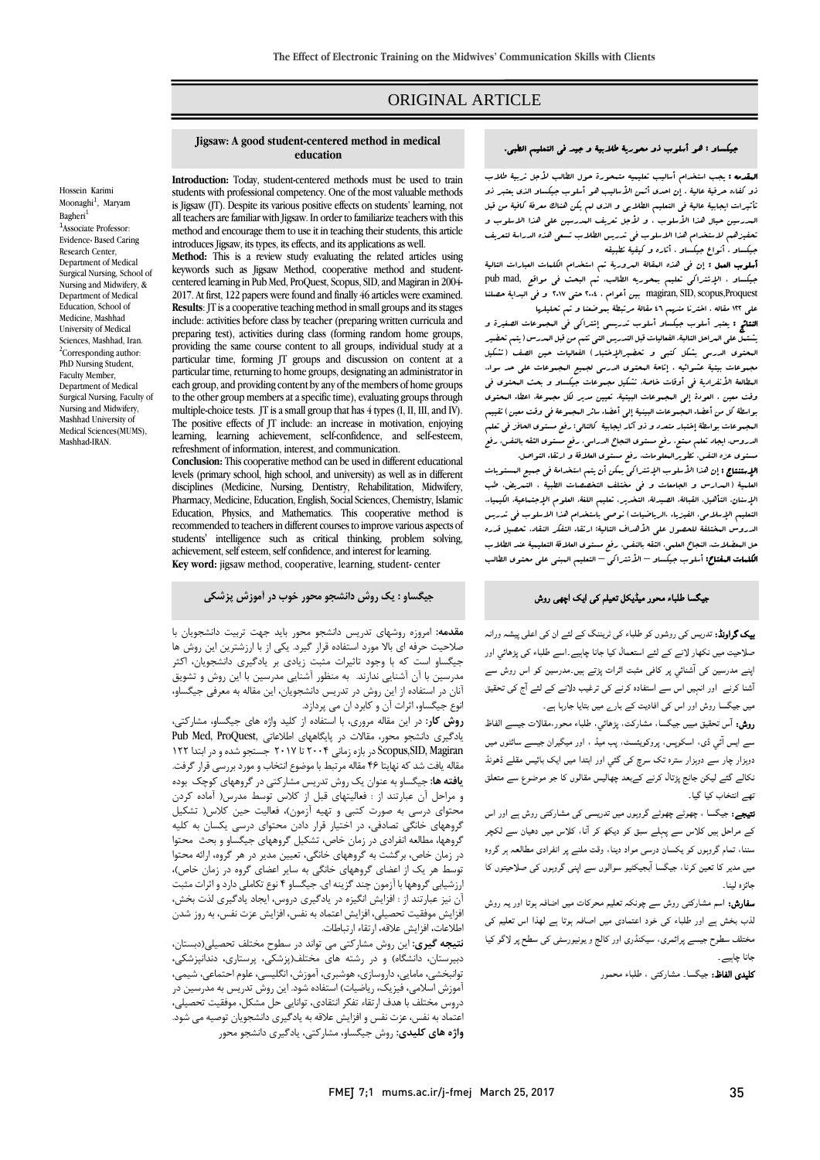# ORIGINAL ARTICLE

#### جیکساو : هو أسلوب ذو محوریۀ طلابیۀ و جید فی التعلیم الطبی.

المقدمه : یجب استخدام أسالیب تعلیمیه متمحورة حول الطالب لأجل تربیۀ طلاب ذو کفاءه حرفیۀ عالیۀ . إن احدي أثمن الأسالیب هو أسلوب جیکساو الذي یعتبر ذو تأثیرات ایجابیۀ عالیۀ فی التعلیم الطلابی و الذي لم یکن هناك معرفۀ کافیۀ من قبل المدرسین حیال هذا الأسلوب ، و لأجل تعریف المدرسین علی هذا الاسلوب و تحفیزهم لاستخدام هذا الاسلوب فی تدریس الطلاب تسعی هذه الدراسۀ لتعریف جیکساو ، أنواع جیکساو ، أثاره و کیفیۀ تطبیقه

**أسلوب العمل :** إن فی هذه المقالۀ المروریۀ تم استخدام الکلمات العبارات التالیۀ جیکساو ، الإشتراکی تعلیم بمحوریه الطالب، تم البحث فی مواقع ,mad pub Proquest,scopus ,SID ,magiran بین أعوام ، 2004 حتی 2017 و فی البدایۀ حصلنا علی 122 مقاله ، اخترنا منهم 46 مقالۀ مرتبطۀ بموضعنا و تم تحلیلها

النتائج : یعتبر أسلوب جیکساو أسلوب تدریسی إشتراکی فی المجموعات الصغیرة و یشتمل علی المراحل التالبۀ. الفعالیات قبل التدریس التی تتم من قبل المدرس (یتم تحضیر المحتوي الدرسی بشکل کتبی و تحضیرالإختبار) الفعالیات حین الصف (تشکیل مجموعات بیتیۀ عشوائیه ، إتاحۀ المحتوي الدرسی لجمیع المجموعات علی حد سواء، المطالعۀ الأنفرادیۀ فی أوقات خاصۀ، تشکیل مجموعات جیکساو و بحث المحتوي فی وقت معین ، العودة إلی المجموعات البیتیۀ، تعیین مدیر لکل مجموعۀ، اعطاء المحتوي بواسطۀ کل من أعضاء المجموعات البینیۀ إلی أعضاء سائر المجموعۀ فی وقت معین) تقییم المجموعات بواسطۀ إختبار متعدد و ذو آثار ایجابیۀ کالتالی: رفع مستوي الحافز فی تعلم الدروس، ایجاد تعلم ممتع، رفع مستوي النجاح الدراسی، رفع مستوي الثقه بالنفس، رفع مستوي عزه النفس، تطویرالمعلومات، رفع مستوي العلاقۀ و ارتقاء التواصل.

الإستنتاج : إن هذا الأسلوب الإشتراکی یمکن أن یتم استخدامۀ فی جمیع المستویات العلمیۀ (المدارس و الجامعات و فی مختلف التخصصات الطبیۀ ، التمریض، طب الإسنان، التأهیل، القبالۀ، الصیدلۀ، التخدیر، تعلیم اللغۀ، العلوم الإجتماعیۀ، الکیمیاء، التعلیم الإسلامی، الفیزیاء ،الریاضیات) نوصی باستخدام هذا الاسلوب فی تدریس الدروس المختلفۀ للحصول علی الأهداف التالیۀ: ارتقاء التفکر النقاد، تحصیل قدره حل المعضلات، النجاح العلمی، الثقه بالنفس، رفع مستوي العلاقۀ التعلیمیۀ عند الطلاب الکلمات المفتاح: أسلوب جیکساو – الأشتراکی – التعلیم المبنی علی محتوي الطالب

## جیگسا طلباء محور میڈیکل تعیلم کی ایک اچھی روش

بیک گراونڈ: تدریس کی روشوں کو طلباء کی ٹریننگ کے لئے ان کی اعلی پیشہ ورانہ ص��حیت میں نکھار ��نے کے لئے استعمال کیا جانا چاہیے۔اسے طلباء کی پڑھائي اور اپنے مدرسین کی آشنائي پر کافی مثبت اثرات پڑتے ہیں۔مدرسین کو اس روش سے آشنا کرنے اور انہیں اس سے استفادہ کرنے کی ترغیب د��نے کے لئے آج کی تحقیق میں جیگسا روش اور اس کی افادیت کے بارے میں بتایا جارہا ہے۔

روش: آس تحقیق میيں جیگسا، مشارکت، پڑھائي، طلباء محور،مقا��ت جیسے الفاظ سے ایس آئي ڈی، اسکوپس، پروکویئسٹ، پب میڈ ، اور میگيران جیسے سائٹوں میں دوہزار چار سے دوہزار سترہ تک سرچ کی گئي اور ابتدا میں ایک بائيس مقلے ڈھونڈ نکالے گئے لیکن جانج پڑتال کرنے کےبعد چھالیس مقالوں کا جو موضوع سے متعلق تھے انتخاب کیا گيا۔

نتیجے: جیگسا ، چھوٹے چھوٹے گروہوں میں تدریسی کی مشارکتی روش ہے اور اس کے مراحل ہیں ک��س سے پہلے سبق کو دیکھ کر آنا، ک��س میں دھیان سے لکچر سننا، تمام گروہوں کو یکسان درسی مواد دینا، وقت ملنے پر انفرادی مطالعہ ہر گروہ میں مدیر کا تعین کرنا، جیگسا آبجیکٹیو سوالوں سے اپنی گروہوں کی ص��حیتوں کا جائزہ لینا۔

سفارش: اسم مشارکتی روش سے چونکہ تعلیم محرکات میں اضافہ ہوتا اور یہ روش لذب بخش ہے اور طلباء کی خود اعتمادی میں اصافہ ہوتا ہے لھذا اس تعلیم کی مختلف سطوح جیسے پرائمری، سیکنڈری اور کالج و یونیورسٹی کی سطح پر ��گو کیا جانا چاہیے۔

کلیدی الفاظ: جیگسا۔ مشارکتی ، طلباء محمور

**Jigsaw: A good student-centered method in medical education**

**Introduction:** Today, student-centered methods must be used to train students with professional competency. One of the most valuable methods is Jigsaw (JT). Despite its various positive effects on students' learning, not all teachers are familiar with Jigsaw. In order to familiarize teachers with this method and encourage them to use it in teaching their students, this article introduces Jigsaw, its types, its effects, and its applications as well. **Method:** This is a review study evaluating the related articles using

keywords such as Jigsaw Method, cooperative method and studentcentered learning in Pub Med, ProQuest, Scopus, SID, and Magiran in 2004- 2017. At first, 122 papers were found and finally 46 articles were examined. **Results**: JT is a cooperative teaching method in small groups and its stages include: activities before class by teacher (preparing written curricula and preparing test), activities during class (forming random home groups, providing the same course content to all groups, individual study at a particular time, forming JT groups and discussion on content at a particular time, returning to home groups, designating an administrator in each group, and providing content by any of the members of home groups to the other group members at a specific time), evaluating groups through multiple-choice tests. JT is a small group that has 4 types (I, II, III, and IV). The positive effects of JT include: an increase in motivation, enjoying learning, learning achievement, self-confidence, and self-esteem, refreshment of information, interest, and communication.

**Conclusion:** This cooperative method can be used in different educational levels (primary school, high school, and university) as well as in different disciplines (Medicine, Nursing, Dentistry, Rehabilitation, Midwifery, Pharmacy, Medicine, Education, English, Social Sciences, Chemistry, Islamic Education, Physics, and Mathematics. This cooperative method is recommended to teachers in different courses to improve various aspects of students' intelligence such as critical thinking, problem solving, achievement, self esteem, self confidence, and interest for learning. **Key word:** jigsaw method, cooperative, learning, student- center

**جیگساو : یک روش دانشجو محور خوب در آموزش پزشکی**

**مقدمه:** امروزه روشهاي تدریس دانشجو محور باید جهت تربیت دانشجویان با صلاحیت حرفه اي بالا مورد استفاده قرار گیرد. یکی از با ارزشترین این روش ها جیگساو است که با وجود تاثیرات مثبت زیادي بر یادگیري دانشجویان، اکثر مدرسین با آن آشنایی ندارند. به منظور آشنایی مدرسین با این روش و تشویق آنان در استفاده از این روش در تدریس دانشجویان، این مقاله به معرفی جیگساو، انوع جیگساو، اثرات آن و کابرد ان می پردازد.

**روش کار:** در این مقاله مروري، با استفاده از کلید واژه هاي جیگساو، مشارکتی، یادگیري دانشجو محور، مقالات در پایگاههاي اطلاعاتی ,ProQuest ,Med Pub Scopus,SID, Magiran در بازه زمانی ۲۰۰۴ تا ۲۰۱۷ جستجو شده و در ابتدا ۱۲۲ مقاله یافت شد که نهایتا 46 مقاله مرتبط با موضوع انتخاب و مورد بررسی قرار گرفت. **یافته ها:** جیگساو به عنوان یک روش تدریس مشارکتی در گروههاي کوچک بوده و مراحل آن عبارتند از : فعالیتهاي قبل از کلاس توسط مدرس( آماده کردن محتواي درسی به صورت کتبی و تهیه آزمون)، فعالیت حین کلاس( تشکیل گروههاي خانگی تصادفی، در اختیار قرار دادن محتواي درسی یکسان به کلیه گروهها، مطالعه انفرادي در زمان خاص، تشکیل گروههاي جیگساو و بحث محتوا در زمان خاص، برگشت به گروههاي خانگی، تعیین مدیر در هر گروه، ارائه محتوا توسط هر یک از اعضاي گروههاي خانگی به سایر اعضاي گروه در زمان خاص)، ارزشیابی گروهها با آزمون چند گزینه اي. جیگساو 4 نوع تکاملی دارد و اثرات مثبت آن نیز عبارتند از : افزایش انگیزه در یادگیري دروس، ایجاد یادگیري لذت بخش، افزایش موفقیت تحصیلی، افزایش اعتماد به نفس، افزایش عزت نفس، به روز شدن اطلاعات، افزایش علاقه، ارتقاء ارتباطات.

**نتیجه گیري:** این روش مشارکتی می تواند در سطوح مختلف تحصیلی(دبستان، دبیرستان، دانشگاه) و در رشته هاي مختلف(پزشکی، پرستاري، دندانپزشکی، توانبخشی، مامایی، داروسازي، هوشبري، آموزش، انگلیسی، علوم احتماعی، شیمی، آموزش اسلامی، فیزیک، ریاضیات) استفاده شود. این روش تدریس به مدرسین در دروس مختلف با هدف ارتقاء تفکر انتقادي، توانایی حل مشکل، موفقیت تحصیلی، اعتماد به نفس، عزت نفس و افزایش علاقه به یادگیري دانشجویان توصیه می شود. **واژه هاي کلیدي:** روش جیگساو، مشارکتی، یادگیري دانشجو محور

Moonaghi<sup>1</sup>, Maryam [Bagheri](http://jjchronic.com/?page=search&article_author_fname=Maryam&article_author_mname=&article_author_lname=Bagheri&do_search=1&type=authors)<sup>1</sup> 1 Associate Professor: Evidence- Based Caring Research Center, Department of Medical Surgical Nursing, School of Nursing and Midwifery, & Department of Medical Education, School of Medicine, Mashhad University of Medical Sciences, Mashhad, Iran. <sup>2</sup>Corresponding author: PhD Nursing Student, Faculty Member, Department of Medical Surgical Nursing, Faculty of Nursing and Midwifery, Mashhad University of Medical Sciences(MUMS), Mashhad-IRAN.

Hossein Karimi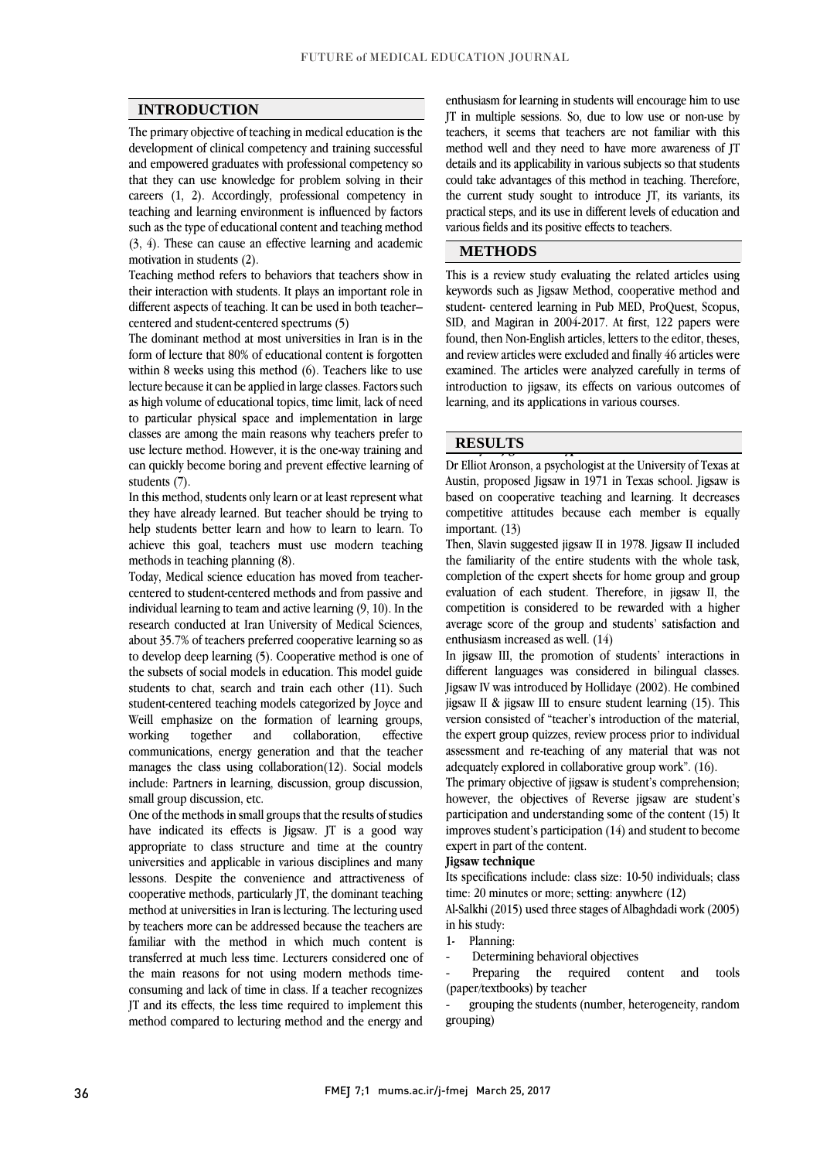## **INTRODUCTION**

The primary objective of teaching in medical education is the development of clinical competency and training successful and empowered graduates with professional competency so that they can use knowledge for problem solving in their careers (1, 2). Accordingly, professional competency in teaching and learning environment is influenced by factors such as the type of educational content and teaching method (3, 4). These can cause an effective learning and academic motivation in students (2).

Teaching method refers to behaviors that teachers show in their interaction with students. It plays an important role in different aspects of teaching. It can be used in both teacher– centered and student-centered spectrums (5)

The dominant method at most universities in Iran is in the form of lecture that 80% of educational content is forgotten within 8 weeks using this method (6). Teachers like to use lecture because it can be applied in large classes. Factors such as high volume of educational topics, time limit, lack of need to particular physical space and implementation in large classes are among the main reasons why teachers prefer to use lecture method. However, it is the one-way training and can quickly become boring and prevent effective learning of students (7).

In this method, students only learn or at least represent what they have already learned. But teacher should be trying to help students better learn and how to learn to learn. To achieve this goal, teachers must use modern teaching methods in teaching planning (8).

Today, Medical science education has moved from teachercentered to student-centered methods and from passive and individual learning to team and active learning (9, 10). In the research conducted at Iran University of Medical Sciences, about 35.7% of teachers preferred cooperative learning so as to develop deep learning (5). Cooperative method is one of the subsets of social models in education. This model guide students to chat, search and train each other (11). Such student-centered teaching models categorized by Joyce and Weill emphasize on the formation of learning groups, working together and collaboration, effective communications, energy generation and that the teacher manages the class using collaboration(12). Social models include: Partners in learning, discussion, group discussion, small group discussion, etc.

One of the methods in small groups that the results of studies have indicated its effects is Jigsaw. JT is a good way appropriate to class structure and time at the country universities and applicable in various disciplines and many lessons. Despite the convenience and attractiveness of cooperative methods, particularly JT, the dominant teaching method at universities in Iran is lecturing. The lecturing used by teachers more can be addressed because the teachers are familiar with the method in which much content is transferred at much less time. Lecturers considered one of the main reasons for not using modern methods timeconsuming and lack of time in class. If a teacher recognizes JT and its effects, the less time required to implement this method compared to lecturing method and the energy and

enthusiasm for learning in students will encourage him to use JT in multiple sessions. So, due to low use or non-use by teachers, it seems that teachers are not familiar with this method well and they need to have more awareness of JT details and its applicability in various subjects so that students could take advantages of this method in teaching. Therefore, the current study sought to introduce JT, its variants, its practical steps, and its use in different levels of education and various fields and its positive effects to teachers.

#### **METHODS**

This is a review study evaluating the related articles using keywords such as Jigsaw Method, cooperative method and student- centered learning in Pub MED, ProQuest, Scopus, SID, and Magiran in 2004-2017. At first, 122 papers were found, then Non-English articles, letters to the editor, theses, and review articles were excluded and finally 46 articles were examined. The articles were analyzed carefully in terms of introduction to jigsaw, its effects on various outcomes of learning, and its applications in various courses.

# **HESULTS**

Dr Elliot Aronson, a psychologist at the University of Texas at Austin, proposed Jigsaw in 1971 in Texas school. Jigsaw is based on cooperative teaching and learning. It decreases competitive attitudes because each member is equally important. (13)

Then, Slavin suggested jigsaw II in 1978. Jigsaw II included the familiarity of the entire students with the whole task, completion of the expert sheets for home group and group evaluation of each student. Therefore, in jigsaw II, the competition is considered to be rewarded with a higher average score of the group and students' satisfaction and enthusiasm increased as well. (14)

In jigsaw III, the promotion of students' interactions in different languages was considered in bilingual classes. Jigsaw IV was introduced by Hollidaye (2002). He combined jigsaw II & jigsaw III to ensure student learning (15). This version consisted of "teacher's introduction of the material, the expert group quizzes, review process prior to individual assessment and re-teaching of any material that was not adequately explored in collaborative group work". (16).

The primary objective of jigsaw is student's comprehension; however, the objectives of Reverse jigsaw are student's participation and understanding some of the content (15) It improves student's participation (14) and student to become expert in part of the content.

#### **Jigsaw technique**

Its specifications include: class size: 10-50 individuals; class time: 20 minutes or more; setting: anywhere (12)

Al-Salkhi (2015) used three stages of Albaghdadi work (2005) in his study:

### 1- Planning:

Determining behavioral objectives

Preparing the required content and tools (paper/textbooks) by teacher

grouping the students (number, heterogeneity, random grouping)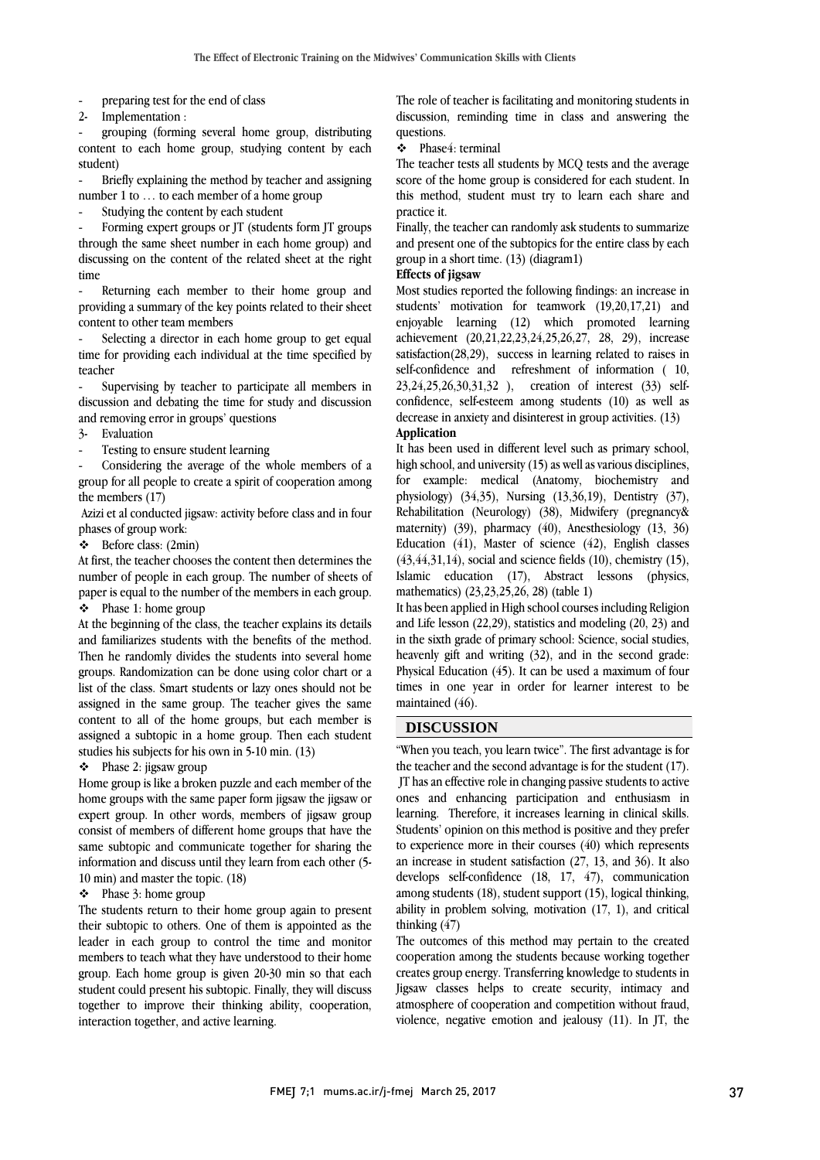preparing test for the end of class

2- Implementation :

- grouping (forming several home group, distributing content to each home group, studying content by each student)

- Briefly explaining the method by teacher and assigning number 1 to … to each member of a home group

Studying the content by each student

Forming expert groups or JT (students form JT groups through the same sheet number in each home group) and discussing on the content of the related sheet at the right time

Returning each member to their home group and providing a summary of the key points related to their sheet content to other team members

Selecting a director in each home group to get equal time for providing each individual at the time specified by teacher

Supervising by teacher to participate all members in discussion and debating the time for study and discussion and removing error in groups' questions

- 3- Evaluation
- Testing to ensure student learning

Considering the average of the whole members of a group for all people to create a spirit of cooperation among the members (17)

Azizi et al conducted jigsaw: activity before class and in four phases of group work:

Before class: (2min)

At first, the teacher chooses the content then determines the number of people in each group. The number of sheets of paper is equal to the number of the members in each group.  $\div$  Phase 1: home group

At the beginning of the class, the teacher explains its details and familiarizes students with the benefits of the method. Then he randomly divides the students into several home groups. Randomization can be done using color chart or a list of the class. Smart students or lazy ones should not be assigned in the same group. The teacher gives the same content to all of the home groups, but each member is assigned a subtopic in a home group. Then each student studies his subjects for his own in 5-10 min. (13)

 $\div$  Phase 2: jigsaw group

Home group is like a broken puzzle and each member of the home groups with the same paper form jigsaw the jigsaw or expert group. In other words, members of jigsaw group consist of members of different home groups that have the same subtopic and communicate together for sharing the information and discuss until they learn from each other (5- 10 min) and master the topic. (18)

#### $\div$  Phase 3: home group

The students return to their home group again to present their subtopic to others. One of them is appointed as the leader in each group to control the time and monitor members to teach what they have understood to their home group. Each home group is given 20-30 min so that each student could present his subtopic. Finally, they will discuss together to improve their thinking ability, cooperation, interaction together, and active learning.

The role of teacher is facilitating and monitoring students in discussion, reminding time in class and answering the questions.

## Phase4: terminal

The teacher tests all students by MCQ tests and the average score of the home group is considered for each student. In this method, student must try to learn each share and practice it.

Finally, the teacher can randomly ask students to summarize and present one of the subtopics for the entire class by each group in a short time. (13) (diagram1)

**Effects of jigsaw** 

Most studies reported the following findings: an increase in students' motivation for teamwork (19,20,17,21) and enjoyable learning (12) which promoted learning achievement (20,21,22,23,24,25,26,27, 28, 29), increase satisfaction(28,29), success in learning related to raises in self-confidence and refreshment of information ( 10, 23,24,25,26,30,31,32 ), creation of interest (33) selfconfidence, self-esteem among students (10) as well as decrease in anxiety and disinterest in group activities. (13) **Application**

It has been used in different level such as primary school, high school, and university (15) as well as various disciplines, for example: medical (Anatomy, biochemistry and physiology) (34,35), Nursing (13,36,19), Dentistry (37), Rehabilitation (Neurology) (38), Midwifery (pregnancy& maternity) (39), pharmacy (40), Anesthesiology (13, 36) Education (41), Master of science (42), English classes  $(43, 44, 31, 14)$ , social and science fields  $(10)$ , chemistry  $(15)$ , Islamic education (17), Abstract lessons (physics, mathematics) (23,23,25,26, 28) (table 1)

It has been applied in High school courses including Religion and Life lesson (22,29), statistics and modeling (20, 23) and in the sixth grade of primary school: Science, social studies, heavenly gift and writing (32), and in the second grade: Physical Education (45). It can be used a maximum of four times in one year in order for learner interest to be maintained (46).

#### **DISCUSSION**

"When you teach, you learn twice". The first advantage is for the teacher and the second advantage is for the student (17). JT has an effective role in changing passive students to active ones and enhancing participation and enthusiasm in learning. Therefore, it increases learning in clinical skills. Students' opinion on this method is positive and they prefer to experience more in their courses (40) which represents an increase in student satisfaction (27, 13, and 36). It also develops self-confidence (18, 17, 47), communication among students (18), student support (15), logical thinking, ability in problem solving, motivation (17, 1), and critical thinking (47)

The outcomes of this method may pertain to the created cooperation among the students because working together creates group energy. Transferring knowledge to students in Jigsaw classes helps to create security, intimacy and atmosphere of cooperation and competition without fraud, violence, negative emotion and jealousy (11). In JT, the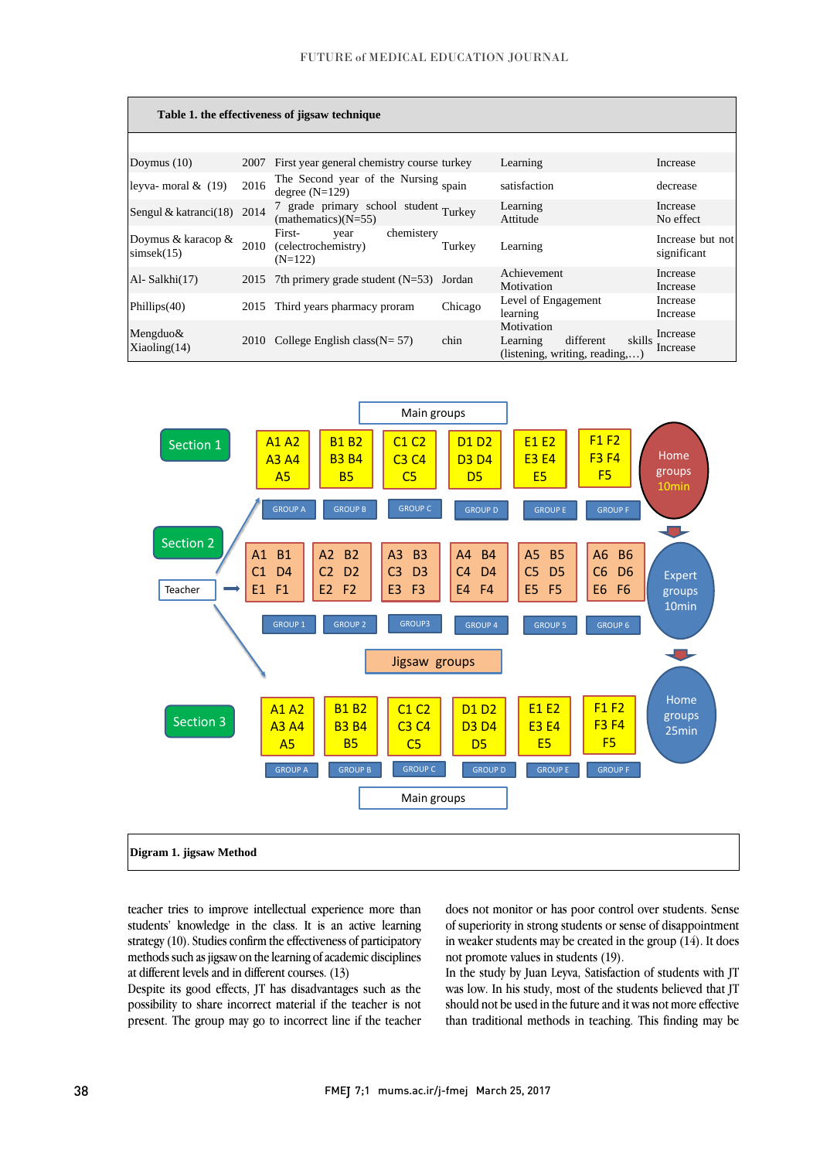| Table 1. the effectiveness of jigsaw technique |      |                                                                  |         |                                                                                 |                                 |
|------------------------------------------------|------|------------------------------------------------------------------|---------|---------------------------------------------------------------------------------|---------------------------------|
|                                                |      |                                                                  |         |                                                                                 |                                 |
| Doymus $(10)$                                  | 2007 | First year general chemistry course turkey                       |         | Learning                                                                        | Increase                        |
| leyva- moral $\&$ (19)                         | 2016 | The Second year of the Nursing spain<br>degree $(N=129)$         |         | satisfaction                                                                    | decrease                        |
| Sengul & katranci(18) 2014                     |      | 7 grade primary school student Turkey<br>$(mathematics)(N=55)$   |         | Learning<br>Attitude                                                            | Increase<br>No effect           |
| Doymus & karacop &<br>simsek(15)               | 2010 | chemistery<br>First-<br>year<br>(celectrochemistry)<br>$(N=122)$ | Turkey  | Learning                                                                        | Increase but not<br>significant |
| Al-Salkhi(17)                                  |      | 2015 7th primery grade student $(N=53)$ Jordan                   |         | Achievement<br>Motivation                                                       | Increase<br>Increase            |
| Phillips $(40)$                                |      | 2015 Third years pharmacy proram                                 | Chicago | Level of Engagement<br>learning                                                 | Increase<br>Increase            |
| Mengduo $\&$<br>Xiaoling(14)                   |      | 2010 College English class $(N = 57)$                            | chin    | Motivation<br>different<br>skills<br>Learning<br>(listening, writing, reading,) | Increase<br>Increase            |



teacher tries to improve intellectual experience more than students' knowledge in the class. It is an active learning strategy (10). Studies confirm the effectiveness of participatory methods such as jigsaw on the learning of academic disciplines at different levels and in different courses. (13)

Despite its good effects, JT has disadvantages such as the possibility to share incorrect material if the teacher is not present. The group may go to incorrect line if the teacher does not monitor or has poor control over students. Sense of superiority in strong students or sense of disappointment in weaker students may be created in the group (14). It does not promote values in students (19).

In the study by Juan Leyva, Satisfaction of students with JT was low. In his study, most of the students believed that JT should not be used in the future and it was not more effective than traditional methods in teaching. This finding may be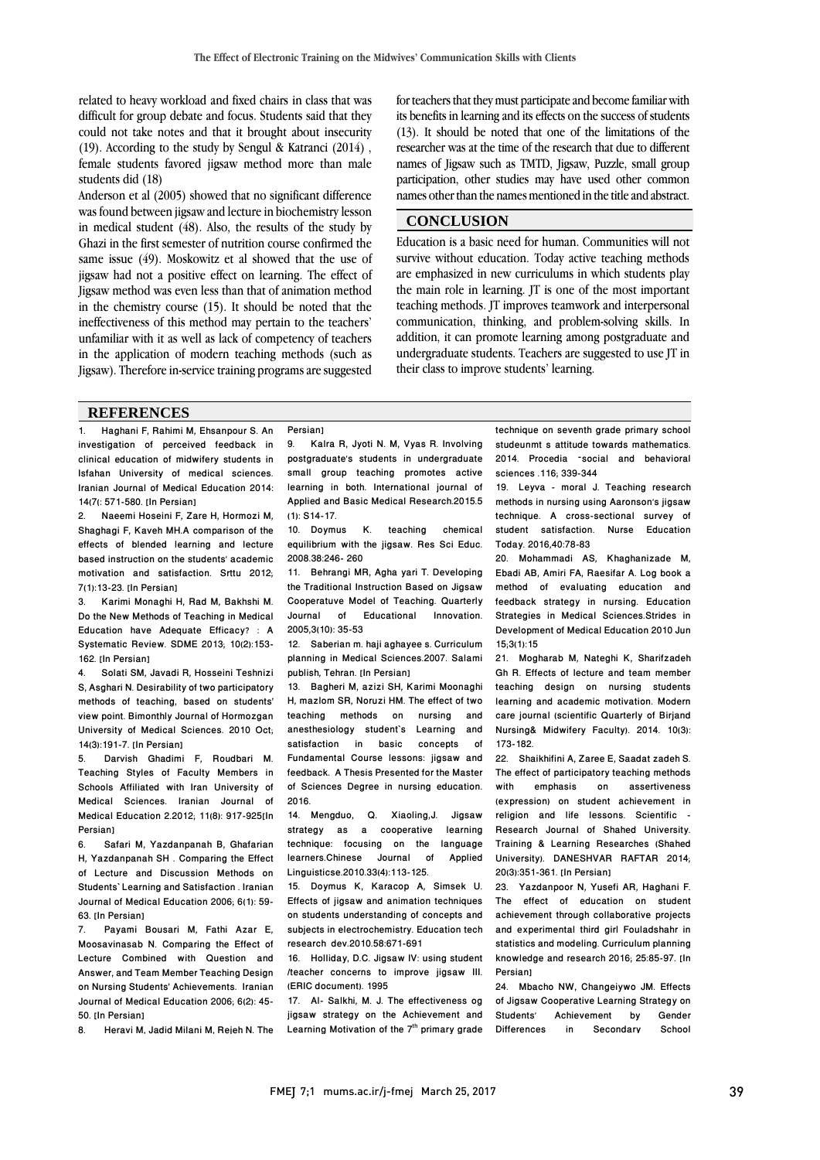related to heavy workload and fixed chairs in class that was difficult for group debate and focus. Students said that they could not take notes and that it brought about insecurity (19). According to the study by Sengul & Katranci (2014) , female students favored jigsaw method more than male students did (18)

Anderson et al (2005) showed that no significant difference was found between jigsaw and lecture in biochemistry lesson in medical student (48). Also, the results of the study by Ghazi in the first semester of nutrition course confirmed the same issue (49). Moskowitz et al showed that the use of jigsaw had not a positive effect on learning. The effect of Jigsaw method was even less than that of animation method in the chemistry course (15). It should be noted that the ineffectiveness of this method may pertain to the teachers' unfamiliar with it as well as lack of competency of teachers in the application of modern teaching methods (such as Jigsaw). Therefore in-service training programs are suggested

for teachers that they must participate and become familiar with its benefits in learning and its effects on the success of students (13). It should be noted that one of the limitations of the researcher was at the time of the research that due to different names of Jigsaw such as TMTD, Jigsaw, Puzzle, small group participation, other studies may have used other common names other than the names mentioned in the title and abstract.

## **CONCLUSION**

Education is a basic need for human. Communities will not survive without education. Today active teaching methods are emphasized in new curriculums in which students play the main role in learning. JT is one of the most important teaching methods. JT improves teamwork and interpersonal communication, thinking, and problem-solving skills. In addition, it can promote learning among postgraduate and undergraduate students. Teachers are suggested to use JT in their class to improve students' learning.

#### **REFERENCES**

1. Haghani F, Rahimi M, Ehsanpour S. An investigation of perceived feedback in clinical education of midwifery students in Isfahan University of medical sciences. Iranian Journal of Medical Education 2014: 14(7(: 571-580. [In Persian]

2. Naeemi Hoseini F, Zare H, Hormozi M, Shaghagi F, Kaveh MH.A comparison of the effects of blended learning and lecture based instruction on the students' academic motivation and satisfaction. Srttu 2012; 7(1):13-23. [In Persian]

3. Karimi Monaghi H, Rad M, Bakhshi M. Do the New Methods of Teaching in Medical Education have Adequate Efficacy? : A Systematic Review. SDME 2013; 10(2):153- 162. [In Persian]

4. Solati SM, Javadi R, Hosseini Teshnizi S, Asghari N. Desirability of two participatory methods of teaching, based on students' view point. Bimonthly Journal of Hormozgan University of Medical Sciences. 2010 Oct; 14(3):191-7. [In Persian]

5. Darvish Ghadimi F, Roudbari M. Teaching Styles of Faculty Members in Schools Affiliated with Iran University of Medical Sciences. Iranian Journal of Medical Education 2.2012; 11(8): 917-925[In Persian]

6. Safari M, Yazdanpanah B, Ghafarian H, Yazdanpanah SH . Comparing the Effect of Lecture and Discussion Methods on Students` Learning and Satisfaction . Iranian Journal of Medical Education 2006; 6(1): 59- 63. [In Persian]

7. Payami Bousari M, Fathi Azar E, Moosavinasab N. Comparing the Effect of Lecture Combined with Question and Answer, and Team Member Teaching Design on Nursing Students' Achievements. Iranian Journal of Medical Education 2006; 6(2): 45- 50. [In Persian]

8. Heravi M, Jadid Milani M, Rejeh N. The

9. Kalra R, Jyoti N. M, Vyas R. Involving postgraduate's students in undergraduate small group teaching promotes active learning in both. International journal of Applied and Basic Medical Research.2015.5 (1): S14-17.

Persian]

10. Doymus K. teaching chemical equilibrium with the jigsaw. Res Sci Educ. 2008.38:246- 260

11. Behrangi MR, Agha yari T. Developing the Traditional Instruction Based on Jigsaw Cooperatuve Model of Teaching. Quarterly<br>Journal of Educational Innovation. Educational 2005,3(10): 35-53

12. Saberian m. haji aghayee s. Curriculum planning in Medical Sciences.2007. Salami publish, Tehran. [In Persian]

13. Bagheri M, azizi SH, Karimi Moonaghi H, mazlom SR, Noruzi HM. The effect of two teaching methods on nursing and anesthesiology student`s Learning and satisfaction in basic concepts of Fundamental Course lessons: jigsaw and feedback. A Thesis Presented for the Master of Sciences Degree in nursing education. 2016.

14. Mengduo, Q. Xiaoling,J. Jigsaw strategy as a cooperative learning technique: focusing on the language learners.Chinese Journal of Applied Linguisticse.2010.33(4):113-125.

15. Doymus K, Karacop A, Simsek U. Effects of jigsaw and animation techniques on students understanding of concepts and subjects in electrochemistry. Education tech research dev.2010.58:671-691

16. Holliday, D.C. Jigsaw IV: using student /teacher concerns to improve jigsaw III. (ERIC document). 1995

17. Al- Salkhi, M. J. The effectiveness og jigsaw strategy on the Achievement and Learning Motivation of the  $7<sup>th</sup>$  primary grade technique on seventh grade primary school studeunmt s attitude towards mathematics. 2014. Procedia –social and behavioral sciences .116; 339-344

19. Leyva - moral J. Teaching research methods in nursing using Aaronson's jigsaw technique. A cross-sectional survey of student satisfaction. Nurse Education Today. 2016,40:78-83

20. Mohammadi AS, Khaghanizade M, Ebadi AB, Amiri FA, Raesifar A. Log book a method of evaluating education and feedback strategy in nursing. Education Strategies in Medical Sciences.Strides in Development of Medical Education 2010 Jun 15;3(1):15

21. Mogharab M, Nateghi K, Sharifzadeh Gh R. Effects of lecture and team member teaching design on nursing students learning and academic motivation. Modern care journal (scientific Quarterly of Birjand Nursing& Midwifery Faculty). 2014. 10(3): 173-182.

22. Shaikhifini A, Zaree E, Saadat zadeh S. The effect of participatory teaching methods with emphasis on assertiveness (expression) on student achievement in religion and life lessons. Scientific - Research Journal of Shahed University. Training & Learning Researches (Shahed University). DANESHVAR RAFTAR 2014; 20(3):351-361. [In Persian]

23. Yazdanpoor N, Yusefi AR, Haghani F. The effect of education on student achievement through collaborative projects and experimental third girl Fouladshahr in statistics and modeling. Curriculum planning knowledge and research 2016; 25:85-97. [In Persian]

24. Mbacho NW, Changeiywo JM. Effects of Jigsaw Cooperative Learning Strategy on Students' Achievement by Gender<br>Differences in Secondary School Differences in